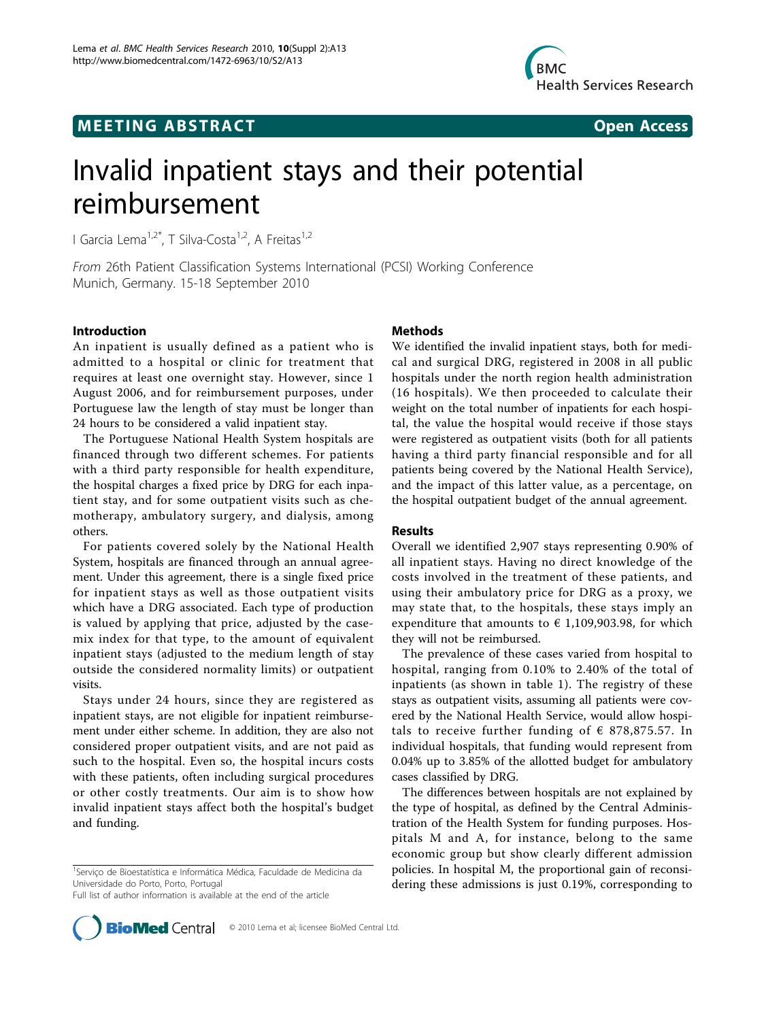## **MEETING ABSTRACT CONSUMING ABSTRACT**



# Invalid inpatient stays and their potential reimbursement

I Garcia Lema<sup>1,2\*</sup>, T Silva-Costa<sup>1,2</sup>, A Freitas<sup>1,2</sup>

From 26th Patient Classification Systems International (PCSI) Working Conference Munich, Germany. 15-18 September 2010

#### Introduction

An inpatient is usually defined as a patient who is admitted to a hospital or clinic for treatment that requires at least one overnight stay. However, since 1 August 2006, and for reimbursement purposes, under Portuguese law the length of stay must be longer than 24 hours to be considered a valid inpatient stay.

The Portuguese National Health System hospitals are financed through two different schemes. For patients with a third party responsible for health expenditure, the hospital charges a fixed price by DRG for each inpatient stay, and for some outpatient visits such as chemotherapy, ambulatory surgery, and dialysis, among others.

For patients covered solely by the National Health System, hospitals are financed through an annual agreement. Under this agreement, there is a single fixed price for inpatient stays as well as those outpatient visits which have a DRG associated. Each type of production is valued by applying that price, adjusted by the casemix index for that type, to the amount of equivalent inpatient stays (adjusted to the medium length of stay outside the considered normality limits) or outpatient visits.

Stays under 24 hours, since they are registered as inpatient stays, are not eligible for inpatient reimbursement under either scheme. In addition, they are also not considered proper outpatient visits, and are not paid as such to the hospital. Even so, the hospital incurs costs with these patients, often including surgical procedures or other costly treatments. Our aim is to show how invalid inpatient stays affect both the hospital's budget and funding.

Full list of author information is available at the end of the article

#### Methods

We identified the invalid inpatient stays, both for medical and surgical DRG, registered in 2008 in all public hospitals under the north region health administration (16 hospitals). We then proceeded to calculate their weight on the total number of inpatients for each hospital, the value the hospital would receive if those stays were registered as outpatient visits (both for all patients having a third party financial responsible and for all patients being covered by the National Health Service), and the impact of this latter value, as a percentage, on the hospital outpatient budget of the annual agreement.

#### Results

Overall we identified 2,907 stays representing 0.90% of all inpatient stays. Having no direct knowledge of the costs involved in the treatment of these patients, and using their ambulatory price for DRG as a proxy, we may state that, to the hospitals, these stays imply an expenditure that amounts to  $\epsilon$  1,109,903.98, for which they will not be reimbursed.

The prevalence of these cases varied from hospital to hospital, ranging from 0.10% to 2.40% of the total of inpatients (as shown in table [1\)](#page-1-0). The registry of these stays as outpatient visits, assuming all patients were covered by the National Health Service, would allow hospitals to receive further funding of  $\epsilon$  878,875.57. In individual hospitals, that funding would represent from 0.04% up to 3.85% of the allotted budget for ambulatory cases classified by DRG.

The differences between hospitals are not explained by the type of hospital, as defined by the Central Administration of the Health System for funding purposes. Hospitals M and A, for instance, belong to the same economic group but show clearly different admission policies. In hospital M, the proportional gain of reconsidering these admissions is just 0.19%, corresponding to



<sup>&</sup>lt;sup>1</sup>Serviço de Bioestatística e Informática Médica, Faculdade de Medicina da Universidade do Porto, Porto, Portugal